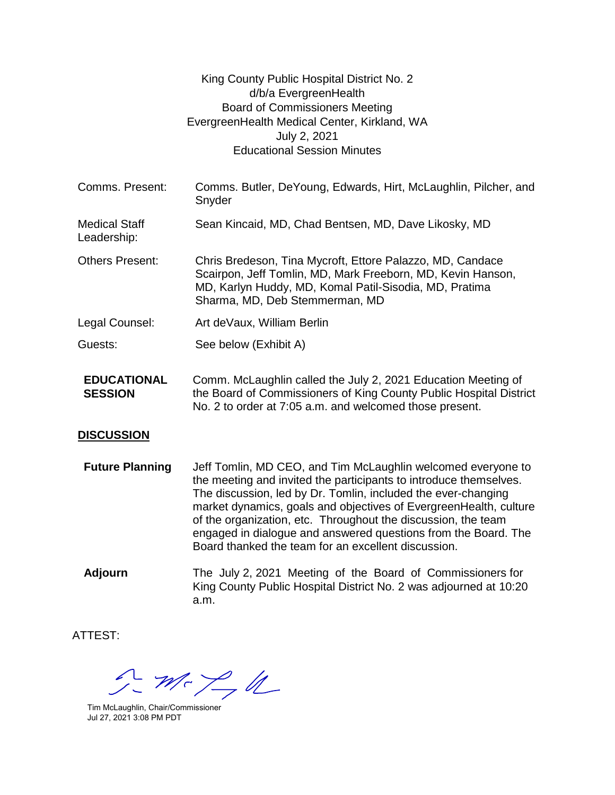|                                      | King County Public Hospital District No. 2<br>d/b/a EvergreenHealth<br><b>Board of Commissioners Meeting</b><br>EvergreenHealth Medical Center, Kirkland, WA<br>July 2, 2021<br><b>Educational Session Minutes</b>   |
|--------------------------------------|----------------------------------------------------------------------------------------------------------------------------------------------------------------------------------------------------------------------|
| Comms. Present:                      | Comms. Butler, DeYoung, Edwards, Hirt, McLaughlin, Pilcher, and<br>Snyder                                                                                                                                            |
| <b>Medical Staff</b><br>Leadership:  | Sean Kincaid, MD, Chad Bentsen, MD, Dave Likosky, MD                                                                                                                                                                 |
| <b>Others Present:</b>               | Chris Bredeson, Tina Mycroft, Ettore Palazzo, MD, Candace<br>Scairpon, Jeff Tomlin, MD, Mark Freeborn, MD, Kevin Hanson,<br>MD, Karlyn Huddy, MD, Komal Patil-Sisodia, MD, Pratima<br>Sharma, MD, Deb Stemmerman, MD |
| Legal Counsel:                       | Art deVaux, William Berlin                                                                                                                                                                                           |
| Guests:                              | See below (Exhibit A)                                                                                                                                                                                                |
| <b>EDUCATIONAL</b><br><b>SESSION</b> | Comm. McLaughlin called the July 2, 2021 Education Meeting of<br>the Board of Commissioners of King County Public Hospital District<br>No. 2 to order at 7:05 a.m. and welcomed those present.                       |

## **DISCUSSION**

**Future Planning** Jeff Tomlin, MD CEO, and Tim McLaughlin welcomed everyone to the meeting and invited the participants to introduce themselves. The discussion, led by Dr. Tomlin, included the ever-changing market dynamics, goals and objectives of EvergreenHealth, culture of the organization, etc. Throughout the discussion, the team engaged in dialogue and answered questions from the Board. The Board thanked the team for an excellent discussion.

**Adjourn** The July 2, 2021 Meeting of the Board of Commissioners for King County Public Hospital District No. 2 was adjourned at 10:20 a.m.

ATTEST:

 $2 - m < 24$ 

Tim McLaughlin, Chair/Commissioner Jul 27, 2021 3:08 PM PDT